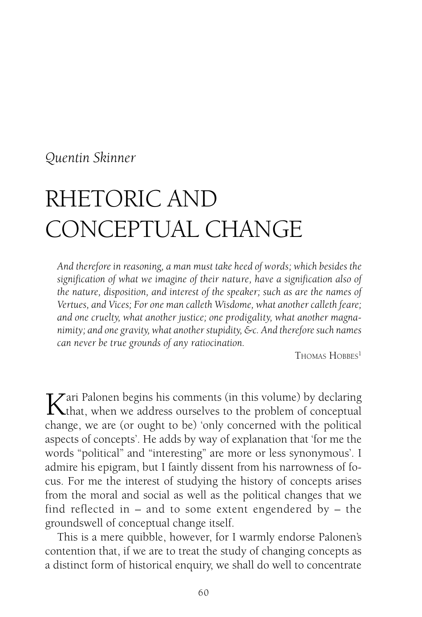### *Quentin Skinner*

# RHETORIC AND CONCEPTUAL CHANGE

*And therefore in reasoning, a man must take heed of words; which besides the signification of what we imagine of their nature, have a signification also of the nature, disposition, and interest of the speaker; such as are the names of Vertues, and Vices; For one man calleth Wisdome, what another calleth feare; and one cruelty, what another justice; one prodigality, what another magnanimity; and one gravity, what another stupidity, &c. And therefore such names can never be true grounds of any ratiocination.*

THOMAS HOBBES<sup>1</sup>

Kari Palonen begins his comments (in this volume) by declaring<br>that, when we address ourselves to the problem of conceptual change, we are (or ought to be) 'only concerned with the political aspects of concepts'. He adds by way of explanation that 'for me the words "political" and "interesting" are more or less synonymous'. I admire his epigram, but I faintly dissent from his narrowness of focus. For me the interest of studying the history of concepts arises from the moral and social as well as the political changes that we find reflected in – and to some extent engendered by – the groundswell of conceptual change itself.

This is a mere quibble, however, for I warmly endorse Palonen's contention that, if we are to treat the study of changing concepts as a distinct form of historical enquiry, we shall do well to concentrate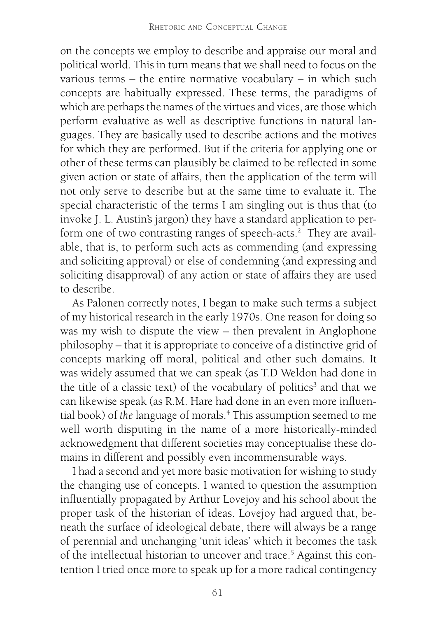on the concepts we employ to describe and appraise our moral and political world. This in turn means that we shall need to focus on the various terms – the entire normative vocabulary – in which such concepts are habitually expressed. These terms, the paradigms of which are perhaps the names of the virtues and vices, are those which perform evaluative as well as descriptive functions in natural languages. They are basically used to describe actions and the motives for which they are performed. But if the criteria for applying one or other of these terms can plausibly be claimed to be reflected in some given action or state of affairs, then the application of the term will not only serve to describe but at the same time to evaluate it. The special characteristic of the terms I am singling out is thus that (to invoke J. L. Austin's jargon) they have a standard application to perform one of two contrasting ranges of speech-acts.<sup>2</sup> They are available, that is, to perform such acts as commending (and expressing and soliciting approval) or else of condemning (and expressing and soliciting disapproval) of any action or state of affairs they are used to describe.

As Palonen correctly notes, I began to make such terms a subject of my historical research in the early 1970s. One reason for doing so was my wish to dispute the view – then prevalent in Anglophone philosophy – that it is appropriate to conceive of a distinctive grid of concepts marking off moral, political and other such domains. It was widely assumed that we can speak (as T.D Weldon had done in the title of a classic text) of the vocabulary of politics<sup>3</sup> and that we can likewise speak (as R.M. Hare had done in an even more influential book) of *the* language of morals.4 This assumption seemed to me well worth disputing in the name of a more historically-minded acknowedgment that different societies may conceptualise these domains in different and possibly even incommensurable ways.

I had a second and yet more basic motivation for wishing to study the changing use of concepts. I wanted to question the assumption influentially propagated by Arthur Lovejoy and his school about the proper task of the historian of ideas. Lovejoy had argued that, beneath the surface of ideological debate, there will always be a range of perennial and unchanging 'unit ideas' which it becomes the task of the intellectual historian to uncover and trace.<sup>5</sup> Against this contention I tried once more to speak up for a more radical contingency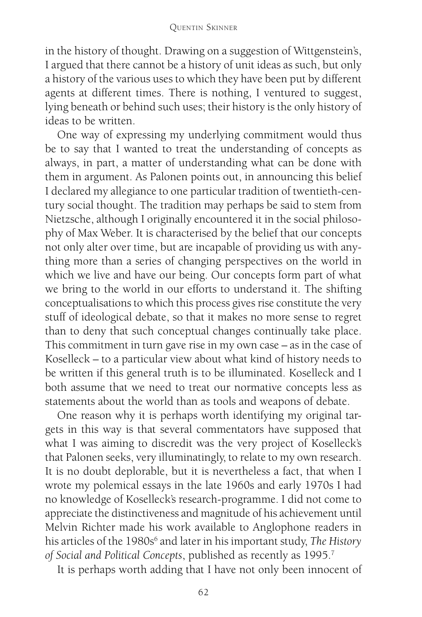in the history of thought. Drawing on a suggestion of Wittgenstein's, I argued that there cannot be a history of unit ideas as such, but only a history of the various uses to which they have been put by different agents at different times. There is nothing, I ventured to suggest, lying beneath or behind such uses; their history is the only history of ideas to be written.

One way of expressing my underlying commitment would thus be to say that I wanted to treat the understanding of concepts as always, in part, a matter of understanding what can be done with them in argument. As Palonen points out, in announcing this belief I declared my allegiance to one particular tradition of twentieth-century social thought. The tradition may perhaps be said to stem from Nietzsche, although I originally encountered it in the social philosophy of Max Weber. It is characterised by the belief that our concepts not only alter over time, but are incapable of providing us with anything more than a series of changing perspectives on the world in which we live and have our being. Our concepts form part of what we bring to the world in our efforts to understand it. The shifting conceptualisations to which this process gives rise constitute the very stuff of ideological debate, so that it makes no more sense to regret than to deny that such conceptual changes continually take place. This commitment in turn gave rise in my own case – as in the case of Koselleck – to a particular view about what kind of history needs to be written if this general truth is to be illuminated. Koselleck and I both assume that we need to treat our normative concepts less as statements about the world than as tools and weapons of debate.

One reason why it is perhaps worth identifying my original targets in this way is that several commentators have supposed that what I was aiming to discredit was the very project of Koselleck's that Palonen seeks, very illuminatingly, to relate to my own research. It is no doubt deplorable, but it is nevertheless a fact, that when I wrote my polemical essays in the late 1960s and early 1970s I had no knowledge of Koselleck's research-programme. I did not come to appreciate the distinctiveness and magnitude of his achievement until Melvin Richter made his work available to Anglophone readers in his articles of the 1980s<sup>6</sup> and later in his important study, *The History of Social and Political Concepts*, published as recently as 1995.7

It is perhaps worth adding that I have not only been innocent of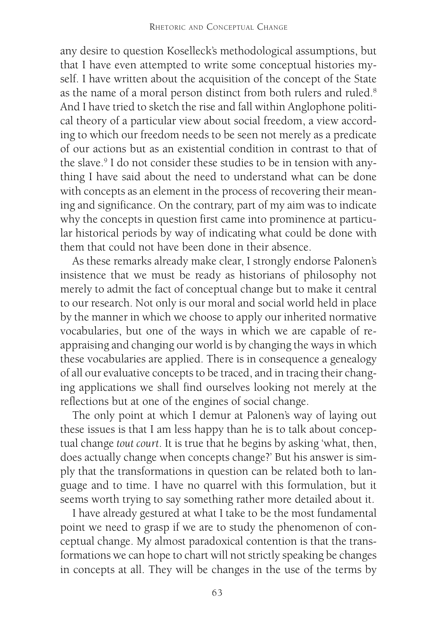any desire to question Koselleck's methodological assumptions, but that I have even attempted to write some conceptual histories myself. I have written about the acquisition of the concept of the State as the name of a moral person distinct from both rulers and ruled.<sup>8</sup> And I have tried to sketch the rise and fall within Anglophone political theory of a particular view about social freedom, a view according to which our freedom needs to be seen not merely as a predicate of our actions but as an existential condition in contrast to that of the slave.9 I do not consider these studies to be in tension with anything I have said about the need to understand what can be done with concepts as an element in the process of recovering their meaning and significance. On the contrary, part of my aim was to indicate why the concepts in question first came into prominence at particular historical periods by way of indicating what could be done with them that could not have been done in their absence.

As these remarks already make clear, I strongly endorse Palonen's insistence that we must be ready as historians of philosophy not merely to admit the fact of conceptual change but to make it central to our research. Not only is our moral and social world held in place by the manner in which we choose to apply our inherited normative vocabularies, but one of the ways in which we are capable of reappraising and changing our world is by changing the ways in which these vocabularies are applied. There is in consequence a genealogy of all our evaluative concepts to be traced, and in tracing their changing applications we shall find ourselves looking not merely at the reflections but at one of the engines of social change.

The only point at which I demur at Palonen's way of laying out these issues is that I am less happy than he is to talk about conceptual change *tout court*. It is true that he begins by asking 'what, then, does actually change when concepts change?' But his answer is simply that the transformations in question can be related both to language and to time. I have no quarrel with this formulation, but it seems worth trying to say something rather more detailed about it.

I have already gestured at what I take to be the most fundamental point we need to grasp if we are to study the phenomenon of conceptual change. My almost paradoxical contention is that the transformations we can hope to chart will not strictly speaking be changes in concepts at all. They will be changes in the use of the terms by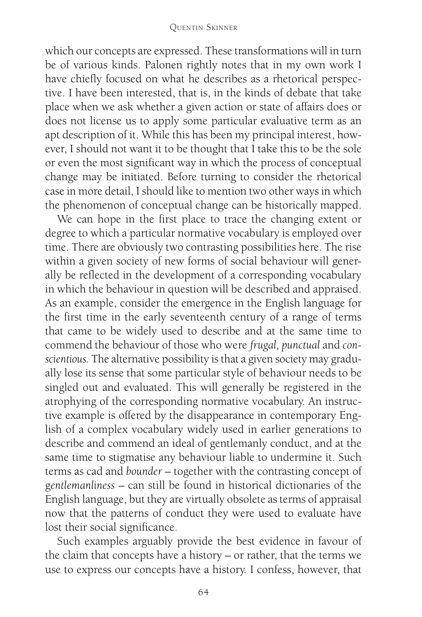which our concepts are expressed. These transformations will in turn be of various kinds. Palonen rightly notes that in my own work I have chiefly focused on what he describes as a rhetorical perspective. I have been interested, that is, in the kinds of debate that take place when we ask whether a given action or state of affairs does or does not license us to apply some particular evaluative term as an apt description of it. While this has been my principal interest, however, I should not want it to be thought that I take this to be the sole or even the most significant way in which the process of conceptual change may be initiated. Before turning to consider the rhetorical case in more detail, I should like to mention two other ways in which the phenomenon of conceptual change can be historically mapped.

We can hope in the first place to trace the changing extent or degree to which a particular normative vocabulary is employed over time. There are obviously two contrasting possibilities here. The rise within a given society of new forms of social behaviour will generally be reflected in the development of a corresponding vocabulary in which the behaviour in question will be described and appraised. As an example, consider the emergence in the English language for the first time in the early seventeenth century of a range of terms that came to be widely used to describe and at the same time to commend the behaviour of those who were *frugal, punctual* and *conscientious.* The alternative possibility is that a given society may gradually lose its sense that some particular style of behaviour needs to be singled out and evaluated. This will generally be registered in the atrophying of the corresponding normative vocabulary. An instructive example is offered by the disappearance in contemporary English of a complex vocabulary widely used in earlier generations to describe and commend an ideal of gentlemanly conduct, and at the same time to stigmatise any behaviour liable to undermine it. Such terms as cad and *bounder* – together with the contrasting concept of g*entlemanliness* – can still be found in historical dictionaries of the English language, but they are virtually obsolete as terms of appraisal now that the patterns of conduct they were used to evaluate have lost their social significance.

Such examples arguably provide the best evidence in favour of the claim that concepts have a history – or rather, that the terms we use to express our concepts have a history. I confess, however, that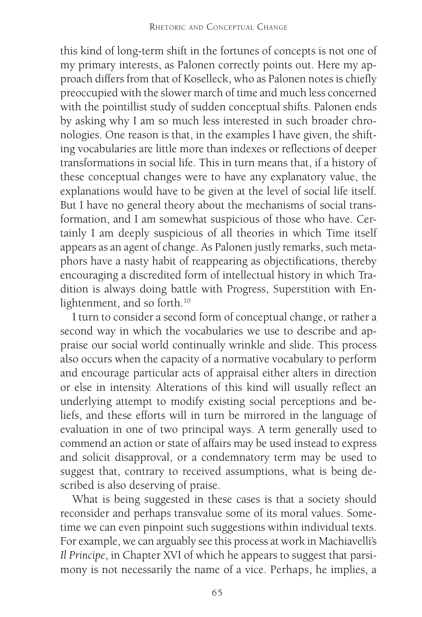this kind of long-term shift in the fortunes of concepts is not one of my primary interests, as Palonen correctly points out. Here my approach differs from that of Koselleck, who as Palonen notes is chiefly preoccupied with the slower march of time and much less concerned with the pointillist study of sudden conceptual shifts. Palonen ends by asking why I am so much less interested in such broader chronologies. One reason is that, in the examples I have given, the shifting vocabularies are little more than indexes or reflections of deeper transformations in social life. This in turn means that, if a history of these conceptual changes were to have any explanatory value, the explanations would have to be given at the level of social life itself. But I have no general theory about the mechanisms of social transformation, and I am somewhat suspicious of those who have. Certainly I am deeply suspicious of all theories in which Time itself appears as an agent of change. As Palonen justly remarks, such metaphors have a nasty habit of reappearing as objectifications, thereby encouraging a discredited form of intellectual history in which Tradition is always doing battle with Progress, Superstition with Enlightenment, and so forth.<sup>10</sup>

I turn to consider a second form of conceptual change, or rather a second way in which the vocabularies we use to describe and appraise our social world continually wrinkle and slide. This process also occurs when the capacity of a normative vocabulary to perform and encourage particular acts of appraisal either alters in direction or else in intensity. Alterations of this kind will usually reflect an underlying attempt to modify existing social perceptions and beliefs, and these efforts will in turn be mirrored in the language of evaluation in one of two principal ways. A term generally used to commend an action or state of affairs may be used instead to express and solicit disapproval, or a condemnatory term may be used to suggest that, contrary to received assumptions, what is being described is also deserving of praise.

What is being suggested in these cases is that a society should reconsider and perhaps transvalue some of its moral values. Sometime we can even pinpoint such suggestions within individual texts. For example, we can arguably see this process at work in Machiavelli's *Il Principe*, in Chapter XVI of which he appears to suggest that parsimony is not necessarily the name of a vice. Perhaps, he implies, a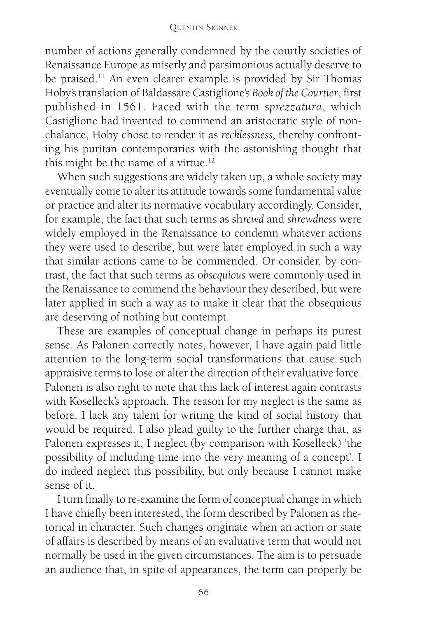number of actions generally condemned by the courtly societies of Renaissance Europe as miserly and parsimonious actually deserve to be praised.<sup>11</sup> An even clearer example is provided by Sir Thomas Hoby's translation of Baldassare Castiglione's *Book of the Courtier*, first published in 1561. Faced with the term s*prezzatura*, which Castiglione had invented to commend an aristocratic style of nonchalance, Hoby chose to render it as *recklessness,* thereby confronting his puritan contemporaries with the astonishing thought that this might be the name of a virtue.<sup>12</sup>

When such suggestions are widely taken up, a whole society may eventually come to alter its attitude towards some fundamental value or practice and alter its normative vocabulary accordingly. Consider, for example, the fact that such terms as sh*rewd* and *shrewdness* were widely employed in the Renaissance to condemn whatever actions they were used to describe, but were later employed in such a way that similar actions came to be commended. Or consider, by contrast, the fact that such terms as o*bsequious* were commonly used in the Renaissance to commend the behaviour they described, but were later applied in such a way as to make it clear that the obsequious are deserving of nothing but contempt.

These are examples of conceptual change in perhaps its purest sense. As Palonen correctly notes, however, I have again paid little attention to the long-term social transformations that cause such appraisive terms to lose or alter the direction of their evaluative force. Palonen is also right to note that this lack of interest again contrasts with Koselleck's approach. The reason for my neglect is the same as before. I lack any talent for writing the kind of social history that would be required. I also plead guilty to the further charge that, as Palonen expresses it, I neglect (by comparison with Koselleck) 'the possibility of including time into the very meaning of a concept'. I do indeed neglect this possibility, but only because I cannot make sense of it.

I turn finally to re-examine the form of conceptual change in which I have chiefly been interested, the form described by Palonen as rhetorical in character. Such changes originate when an action or state of affairs is described by means of an evaluative term that would not normally be used in the given circumstances. The aim is to persuade an audience that, in spite of appearances, the term can properly be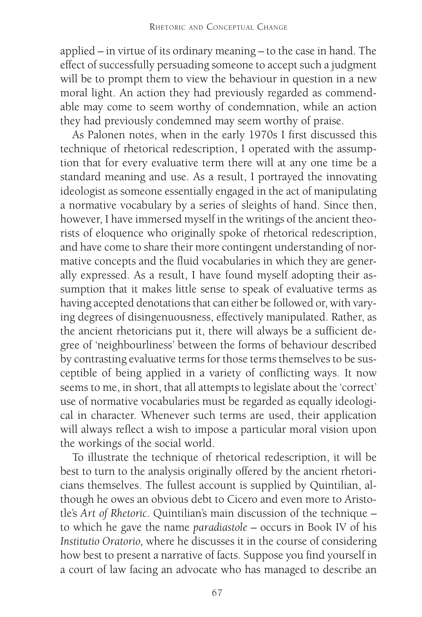applied – in virtue of its ordinary meaning – to the case in hand. The effect of successfully persuading someone to accept such a judgment will be to prompt them to view the behaviour in question in a new moral light. An action they had previously regarded as commendable may come to seem worthy of condemnation, while an action they had previously condemned may seem worthy of praise.

As Palonen notes, when in the early 1970s I first discussed this technique of rhetorical redescription, I operated with the assumption that for every evaluative term there will at any one time be a standard meaning and use. As a result, I portrayed the innovating ideologist as someone essentially engaged in the act of manipulating a normative vocabulary by a series of sleights of hand. Since then, however, I have immersed myself in the writings of the ancient theorists of eloquence who originally spoke of rhetorical redescription, and have come to share their more contingent understanding of normative concepts and the fluid vocabularies in which they are generally expressed. As a result, I have found myself adopting their assumption that it makes little sense to speak of evaluative terms as having accepted denotations that can either be followed or, with varying degrees of disingenuousness, effectively manipulated. Rather, as the ancient rhetoricians put it, there will always be a sufficient degree of 'neighbourliness' between the forms of behaviour described by contrasting evaluative terms for those terms themselves to be susceptible of being applied in a variety of conflicting ways. It now seems to me, in short, that all attempts to legislate about the 'correct' use of normative vocabularies must be regarded as equally ideological in character. Whenever such terms are used, their application will always reflect a wish to impose a particular moral vision upon the workings of the social world.

To illustrate the technique of rhetorical redescription, it will be best to turn to the analysis originally offered by the ancient rhetoricians themselves. The fullest account is supplied by Quintilian, although he owes an obvious debt to Cicero and even more to Aristotle's *Art of Rhetoric*. Quintilian's main discussion of the technique – to which he gave the name *paradiastole* – occurs in Book IV of his *Institutio Oratorio,* where he discusses it in the course of considering how best to present a narrative of facts. Suppose you find yourself in a court of law facing an advocate who has managed to describe an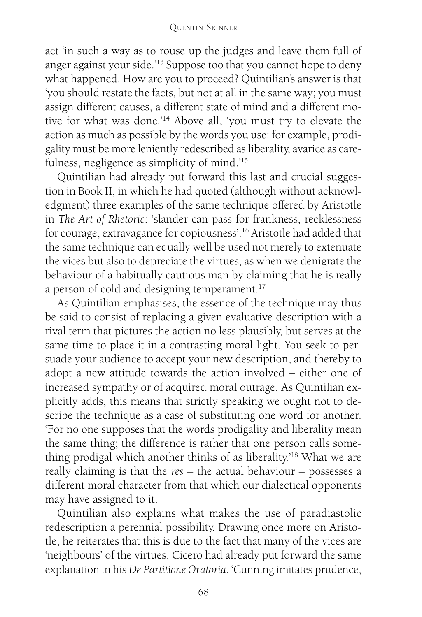act 'in such a way as to rouse up the judges and leave them full of anger against your side.'13 Suppose too that you cannot hope to deny what happened. How are you to proceed? Quintilian's answer is that 'you should restate the facts, but not at all in the same way; you must assign different causes, a different state of mind and a different motive for what was done.'14 Above all, 'you must try to elevate the action as much as possible by the words you use: for example, prodigality must be more leniently redescribed as liberality, avarice as carefulness, negligence as simplicity of mind.'15

Quintilian had already put forward this last and crucial suggestion in Book II, in which he had quoted (although without acknowledgment) three examples of the same technique offered by Aristotle in *The Art of Rhetoric*: 'slander can pass for frankness, recklessness for courage, extravagance for copiousness'.16 Aristotle had added that the same technique can equally well be used not merely to extenuate the vices but also to depreciate the virtues, as when we denigrate the behaviour of a habitually cautious man by claiming that he is really a person of cold and designing temperament.<sup>17</sup>

As Quintilian emphasises, the essence of the technique may thus be said to consist of replacing a given evaluative description with a rival term that pictures the action no less plausibly, but serves at the same time to place it in a contrasting moral light. You seek to persuade your audience to accept your new description, and thereby to adopt a new attitude towards the action involved – either one of increased sympathy or of acquired moral outrage. As Quintilian explicitly adds, this means that strictly speaking we ought not to describe the technique as a case of substituting one word for another. 'For no one supposes that the words prodigality and liberality mean the same thing; the difference is rather that one person calls something prodigal which another thinks of as liberality.'18 What we are really claiming is that the *res* – the actual behaviour – possesses a different moral character from that which our dialectical opponents may have assigned to it.

Quintilian also explains what makes the use of paradiastolic redescription a perennial possibility. Drawing once more on Aristotle, he reiterates that this is due to the fact that many of the vices are 'neighbours' of the virtues. Cicero had already put forward the same explanation in his *De Partitione Oratoria*. 'Cunning imitates prudence,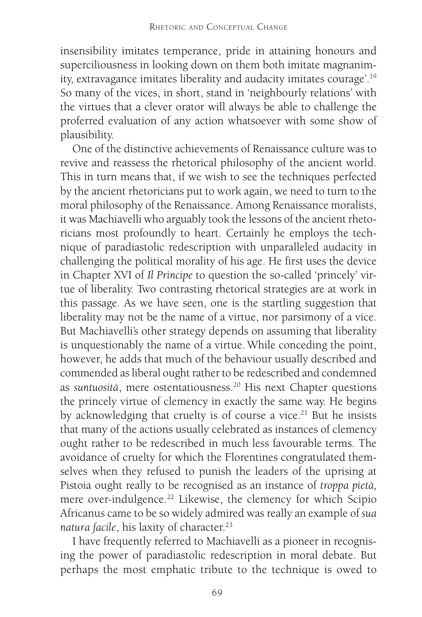insensibility imitates temperance, pride in attaining honours and superciliousness in looking down on them both imitate magnanimity, extravagance imitates liberality and audacity imitates courage'.19 So many of the vices, in short, stand in 'neighbourly relations' with the virtues that a clever orator will always be able to challenge the proferred evaluation of any action whatsoever with some show of plausibility.

One of the distinctive achievements of Renaissance culture was to revive and reassess the rhetorical philosophy of the ancient world. This in turn means that, if we wish to see the techniques perfected by the ancient rhetoricians put to work again, we need to turn to the moral philosophy of the Renaissance. Among Renaissance moralists, it was Machiavelli who arguably took the lessons of the ancient rhetoricians most profoundly to heart. Certainly he employs the technique of paradiastolic redescription with unparalleled audacity in challenging the political morality of his age. He first uses the device in Chapter XVI of *Il Principe* to question the so-called 'princely' virtue of liberality. Two contrasting rhetorical strategies are at work in this passage. As we have seen, one is the startling suggestion that liberality may not be the name of a virtue, nor parsimony of a vice. But Machiavelli's other strategy depends on assuming that liberality is unquestionably the name of a virtue.While conceding the point, however, he adds that much of the behaviour usually described and commended as liberal ought rather to be redescribed and condemned as *suntuosità*, mere ostentatiousness.20 His next Chapter questions the princely virtue of clemency in exactly the same way. He begins by acknowledging that cruelty is of course a vice.<sup>21</sup> But he insists that many of the actions usually celebrated as instances of clemency ought rather to be redescribed in much less favourable terms. The avoidance of cruelty for which the Florentines congratulated themselves when they refused to punish the leaders of the uprising at Pistoia ought really to be recognised as an instance of *troppa pietà,* mere over-indulgence.22 Likewise, the clemency for which Scipio Africanus came to be so widely admired was really an example of *sua* natura facile, his laxity of character.<sup>23</sup>

I have frequently referred to Machiavelli as a pioneer in recognising the power of paradiastolic redescription in moral debate. But perhaps the most emphatic tribute to the technique is owed to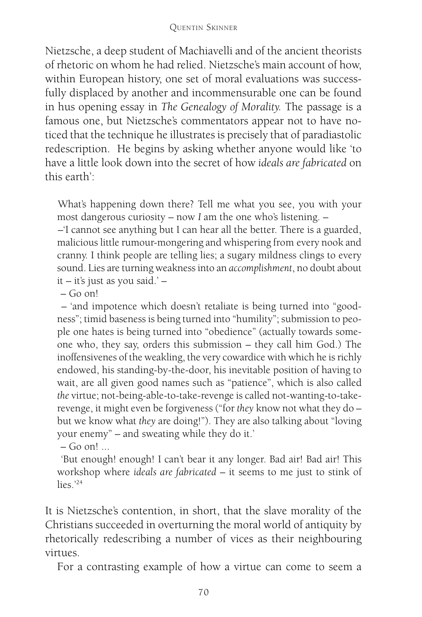Nietzsche, a deep student of Machiavelli and of the ancient theorists of rhetoric on whom he had relied. Nietzsche's main account of how, within European history, one set of moral evaluations was successfully displaced by another and incommensurable one can be found in hus opening essay in *The Genealogy of Morality.* The passage is a famous one, but Nietzsche's commentators appear not to have noticed that the technique he illustrates is precisely that of paradiastolic redescription. He begins by asking whether anyone would like 'to have a little look down into the secret of how *ideals are fabricated* on this earth':

What's happening down there? Tell me what you see, you with your most dangerous curiosity – now *I* am the one who's listening. –

–'I cannot see anything but I can hear all the better. There is a guarded, malicious little rumour-mongering and whispering from every nook and cranny. I think people are telling lies; a sugary mildness clings to every sound. Lies are turning weakness into an *accomplishment*, no doubt about it – it's just as you said.' –

– Go on!

 – 'and impotence which doesn't retaliate is being turned into "goodness"; timid baseness is being turned into "humility"; submission to people one hates is being turned into "obedience" (actually towards someone who, they say, orders this submission – they call him God.) The inoffensivenes of the weakling, the very cowardice with which he is richly endowed, his standing-by-the-door, his inevitable position of having to wait, are all given good names such as "patience", which is also called *the* virtue; not-being-able-to-take-revenge is called not-wanting-to-takerevenge, it might even be forgiveness ("for *they* know not what they do – but we know what *they* are doing!"). They are also talking about "loving your enemy" – and sweating while they do it.'

– Go on! ...

 'But enough! enough! I can't bear it any longer. Bad air! Bad air! This workshop where *ideals are fabricated* – it seems to me just to stink of lies $^{24}$ 

It is Nietzsche's contention, in short, that the slave morality of the Christians succeeded in overturning the moral world of antiquity by rhetorically redescribing a number of vices as their neighbouring virtues.

For a contrasting example of how a virtue can come to seem a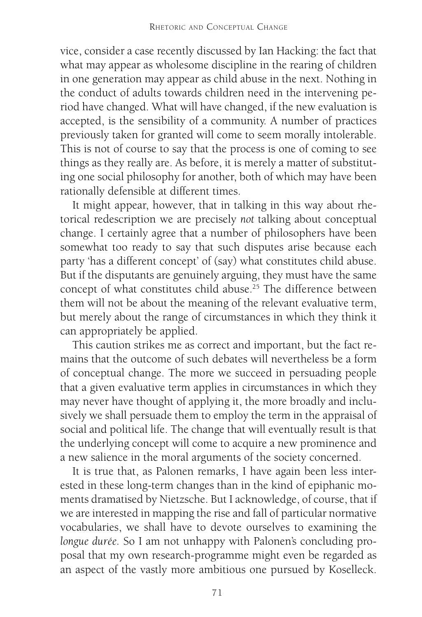vice, consider a case recently discussed by Ian Hacking: the fact that what may appear as wholesome discipline in the rearing of children in one generation may appear as child abuse in the next. Nothing in the conduct of adults towards children need in the intervening period have changed. What will have changed, if the new evaluation is accepted, is the sensibility of a community. A number of practices previously taken for granted will come to seem morally intolerable. This is not of course to say that the process is one of coming to see things as they really are. As before, it is merely a matter of substituting one social philosophy for another, both of which may have been rationally defensible at different times.

It might appear, however, that in talking in this way about rhetorical redescription we are precisely *not* talking about conceptual change. I certainly agree that a number of philosophers have been somewhat too ready to say that such disputes arise because each party 'has a different concept' of (say) what constitutes child abuse. But if the disputants are genuinely arguing, they must have the same concept of what constitutes child abuse.<sup>25</sup> The difference between them will not be about the meaning of the relevant evaluative term, but merely about the range of circumstances in which they think it can appropriately be applied.

This caution strikes me as correct and important, but the fact remains that the outcome of such debates will nevertheless be a form of conceptual change. The more we succeed in persuading people that a given evaluative term applies in circumstances in which they may never have thought of applying it, the more broadly and inclusively we shall persuade them to employ the term in the appraisal of social and political life. The change that will eventually result is that the underlying concept will come to acquire a new prominence and a new salience in the moral arguments of the society concerned.

It is true that, as Palonen remarks, I have again been less interested in these long-term changes than in the kind of epiphanic moments dramatised by Nietzsche. But I acknowledge, of course, that if we are interested in mapping the rise and fall of particular normative vocabularies, we shall have to devote ourselves to examining the *longue durée.* So I am not unhappy with Palonen's concluding proposal that my own research-programme might even be regarded as an aspect of the vastly more ambitious one pursued by Koselleck.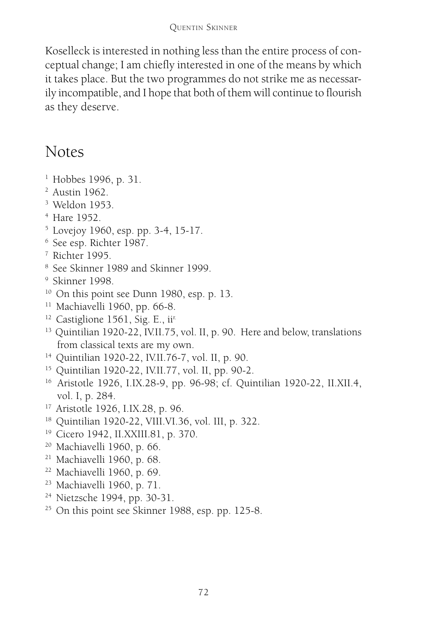Koselleck is interested in nothing less than the entire process of conceptual change; I am chiefly interested in one of the means by which it takes place. But the two programmes do not strike me as necessarily incompatible, and I hope that both of them will continue to flourish as they deserve.

## Notes

- 1 Hobbes 1996, p. 31.
- 2 Austin 1962.
- 3 Weldon 1953.
- 4 Hare 1952.
- 5 Lovejoy 1960, esp. pp. 3-4, 15-17.
- 6 See esp. Richter 1987.
- 7 Richter 1995.
- 8 See Skinner 1989 and Skinner 1999.
- 9 Skinner 1998.
- $10$  On this point see Dunn 1980, esp. p. 13.
- 11 Machiavelli 1960, pp. 66-8.
- <sup>12</sup> Castiglione 1561, Sig. E., ii<sup>r.</sup>
- <sup>13</sup> Quintilian 1920-22, IV.II.75, vol. II, p. 90. Here and below, translations from classical texts are my own.
- 14 Quintilian 1920-22, IV.II.76-7, vol. II, p. 90.
- 15 Quintilian 1920-22, IV.II.77, vol. II, pp. 90-2.
- 16 Aristotle 1926, I.IX.28-9, pp. 96-98; cf. Quintilian 1920-22, II.XII.4, vol. I, p. 284.
- 17 Aristotle 1926, I.IX.28, p. 96.
- 18 Quintilian 1920-22, VIII.VI.36, vol. III, p. 322.
- <sup>19</sup> Cicero 1942, II.XXIII.81, p. 370.
- 20 Machiavelli 1960, p. 66.
- 21 Machiavelli 1960, p. 68.
- 22 Machiavelli 1960, p. 69.
- 23 Machiavelli 1960, p. 71.
- 24 Nietzsche 1994, pp. 30-31.
- $25$  On this point see Skinner 1988, esp. pp. 125-8.